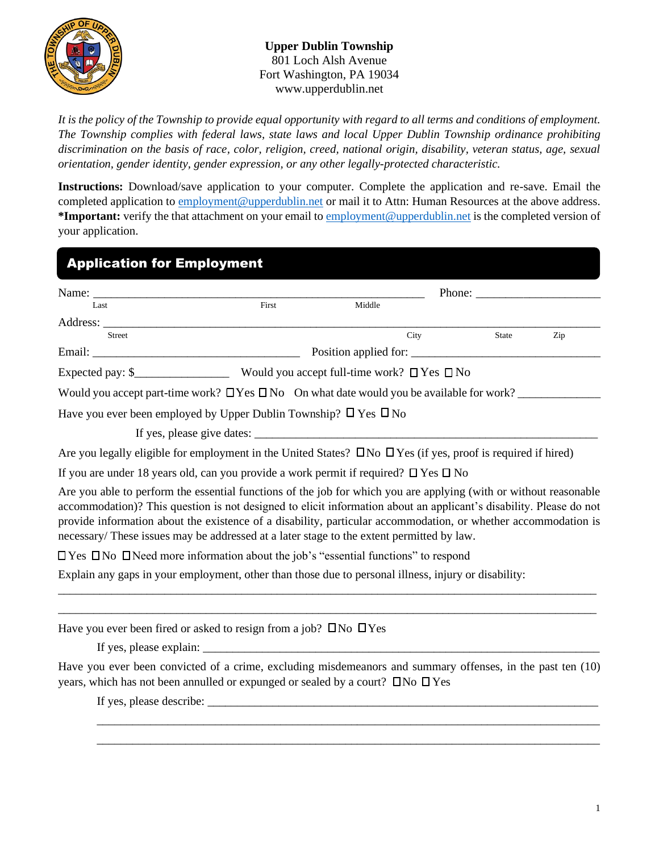

**Upper Dublin Township** 801 Loch Alsh Avenue Fort Washington, PA 19034 www.upperdublin.net

*It is the policy of the Township to provide equal opportunity with regard to all terms and conditions of employment. The Township complies with federal laws, state laws and local Upper Dublin Township ordinance prohibiting discrimination on the basis of race, color, religion, creed, national origin, disability, veteran status, age, sexual orientation, gender identity, gender expression, or any other legally-protected characteristic.* 

**Instructions:** Download/save application to your computer. Complete the application and re-save. Email the completed application to [employment@upperdublin.net](mailto:employment@upperdublin.net) or mail it to Attn: Human Resources at the above address. **\*Important:** verify the that attachment on your email to [employment@upperdublin.net](mailto:employment@upperdublin.net) is the completed version of your application.

| <b>Application for Employment</b>                                                                   |       |                       |                                                           |     |  |  |
|-----------------------------------------------------------------------------------------------------|-------|-----------------------|-----------------------------------------------------------|-----|--|--|
|                                                                                                     |       |                       | Phone: $\frac{1}{\sqrt{1-\frac{1}{2}} \cdot \frac{1}{2}}$ |     |  |  |
| Last                                                                                                | First | Middle                |                                                           |     |  |  |
| Address:                                                                                            |       |                       |                                                           |     |  |  |
| Street                                                                                              |       | City                  | <b>State</b>                                              | Zip |  |  |
|                                                                                                     |       | Position applied for: |                                                           |     |  |  |
| Expected pay: $\mathcal{S}_{\text{max}}$ Would you accept full-time work? $\Box$ Yes $\Box$ No      |       |                       |                                                           |     |  |  |
| Would you accept part-time work? $\Box$ Yes $\Box$ No On what date would you be available for work? |       |                       |                                                           |     |  |  |
| Have you ever been employed by Upper Dublin Township? $\Box$ Yes $\Box$ No                          |       |                       |                                                           |     |  |  |
| If yes, please give dates:                                                                          |       |                       |                                                           |     |  |  |

Are you legally eligible for employment in the United States?  $\Box$  No  $\Box$  Yes (if yes, proof is required if hired)

If you are under 18 years old, can you provide a work permit if required?  $\Box$  Yes  $\Box$  No

Are you able to perform the essential functions of the job for which you are applying (with or without reasonable accommodation)? This question is not designed to elicit information about an applicant's disability. Please do not provide information about the existence of a disability, particular accommodation, or whether accommodation is necessary/ These issues may be addressed at a later stage to the extent permitted by law.

\_\_\_\_\_\_\_\_\_\_\_\_\_\_\_\_\_\_\_\_\_\_\_\_\_\_\_\_\_\_\_\_\_\_\_\_\_\_\_\_\_\_\_\_\_\_\_\_\_\_\_\_\_\_\_\_\_\_\_\_\_\_\_\_\_\_\_\_\_\_\_\_\_\_\_\_\_\_\_\_\_\_\_\_\_\_\_\_\_\_\_ \_\_\_\_\_\_\_\_\_\_\_\_\_\_\_\_\_\_\_\_\_\_\_\_\_\_\_\_\_\_\_\_\_\_\_\_\_\_\_\_\_\_\_\_\_\_\_\_\_\_\_\_\_\_\_\_\_\_\_\_\_\_\_\_\_\_\_\_\_\_\_\_\_\_\_\_\_\_\_\_\_\_\_\_\_\_\_\_\_\_\_

 $\Box$  Yes  $\Box$  No  $\Box$  Need more information about the job's "essential functions" to respond

Explain any gaps in your employment, other than those due to personal illness, injury or disability:

Have you ever been fired or asked to resign from a job?  $\Box$  No  $\Box$  Yes

If yes, please explain:

Have you ever been convicted of a crime, excluding misdemeanors and summary offenses, in the past ten (10) years, which has not been annulled or expunged or sealed by a court?  $\Box$  No  $\Box$  Yes

\_\_\_\_\_\_\_\_\_\_\_\_\_\_\_\_\_\_\_\_\_\_\_\_\_\_\_\_\_\_\_\_\_\_\_\_\_\_\_\_\_\_\_\_\_\_\_\_\_\_\_\_\_\_\_\_\_\_\_\_\_\_\_\_\_\_\_\_\_\_\_\_\_\_\_\_\_\_\_\_\_\_\_\_\_ \_\_\_\_\_\_\_\_\_\_\_\_\_\_\_\_\_\_\_\_\_\_\_\_\_\_\_\_\_\_\_\_\_\_\_\_\_\_\_\_\_\_\_\_\_\_\_\_\_\_\_\_\_\_\_\_\_\_\_\_\_\_\_\_\_\_\_\_\_\_\_\_\_\_\_\_\_\_\_\_\_\_\_\_\_

If yes, please describe: \_\_\_\_\_\_\_\_\_\_\_\_\_\_\_\_\_\_\_\_\_\_\_\_\_\_\_\_\_\_\_\_\_\_\_\_\_\_\_\_\_\_\_\_\_\_\_\_\_\_\_\_\_\_\_\_\_\_\_\_\_\_\_\_\_\_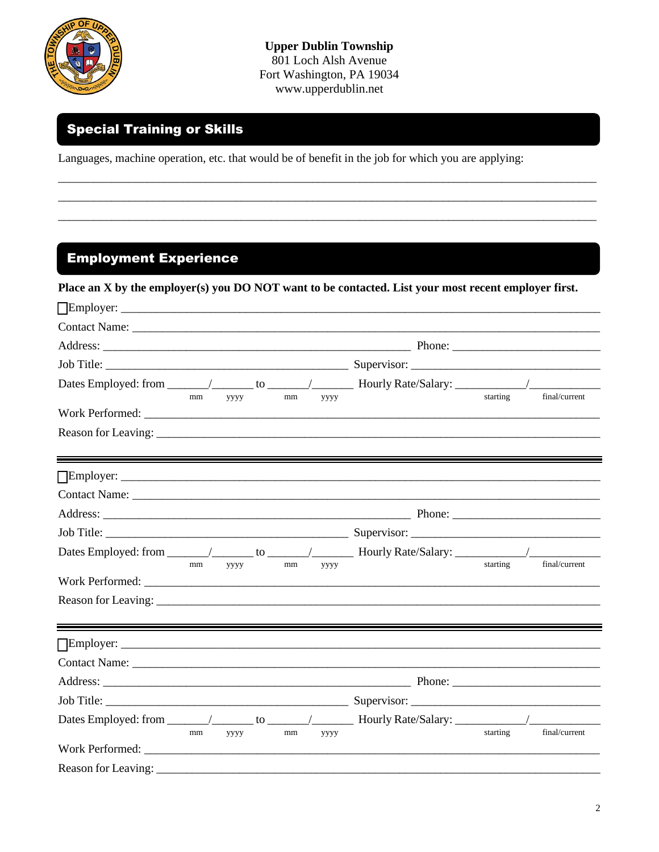

**Upper Dublin Township** 801 Loch Alsh Avenue Fort Washington, PA 19034 www.upperdublin.net

## **Special Training or Skills**

Languages, machine operation, etc. that would be of benefit in the job for which you are applying:

## **Employment Experience**

| Place an X by the employer(s) you DO NOT want to be contacted. List your most recent employer first. |    |             |  |    |      |  |          |               |
|------------------------------------------------------------------------------------------------------|----|-------------|--|----|------|--|----------|---------------|
|                                                                                                      |    |             |  |    |      |  |          |               |
|                                                                                                      |    |             |  |    |      |  |          |               |
|                                                                                                      |    |             |  |    |      |  |          |               |
|                                                                                                      |    |             |  |    |      |  |          |               |
|                                                                                                      |    |             |  |    |      |  |          |               |
| Work Performed:                                                                                      | mm | уууу        |  | mm | уууу |  | starting | final/current |
|                                                                                                      |    |             |  |    |      |  |          |               |
|                                                                                                      |    |             |  |    |      |  |          |               |
|                                                                                                      |    |             |  |    |      |  |          |               |
|                                                                                                      |    |             |  |    |      |  |          |               |
|                                                                                                      |    |             |  |    |      |  |          |               |
|                                                                                                      | mm | <b>YYYY</b> |  | mm | уууу |  | starting | final/current |
| Work Performed:                                                                                      |    |             |  |    |      |  |          |               |
|                                                                                                      |    |             |  |    |      |  |          |               |
|                                                                                                      |    |             |  |    |      |  |          |               |
|                                                                                                      |    |             |  |    |      |  |          |               |
|                                                                                                      |    |             |  |    |      |  |          |               |
|                                                                                                      |    |             |  |    |      |  |          |               |
|                                                                                                      | mm | уууу        |  | mm | уууу |  | starting | final/current |
| Work Performed:                                                                                      |    |             |  |    |      |  |          |               |
|                                                                                                      |    |             |  |    |      |  |          |               |